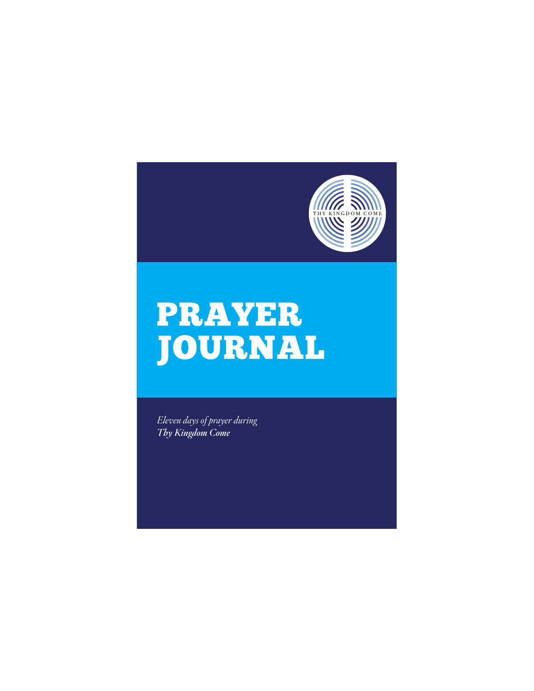

## **PRAYER JOURNAL** JOURNAL AND COMPANY

*Eleven days of prayer during Thy Kingdom Come*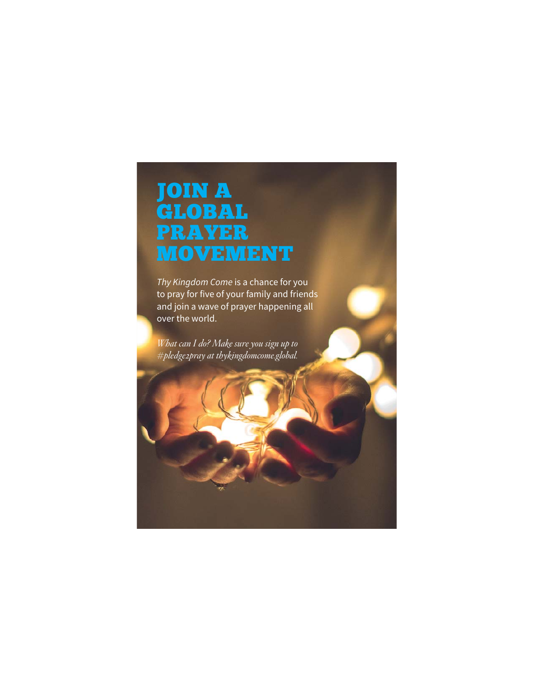## JOIN A PRAYER **MOVEMENT**

Thy Kingdom Come is a chance for you to pray for five of your family and friends and join a wave of prayer happening all over the world.

*What can I do? Make sure you sign up to #pledge2pray at thykingdomcome.global.*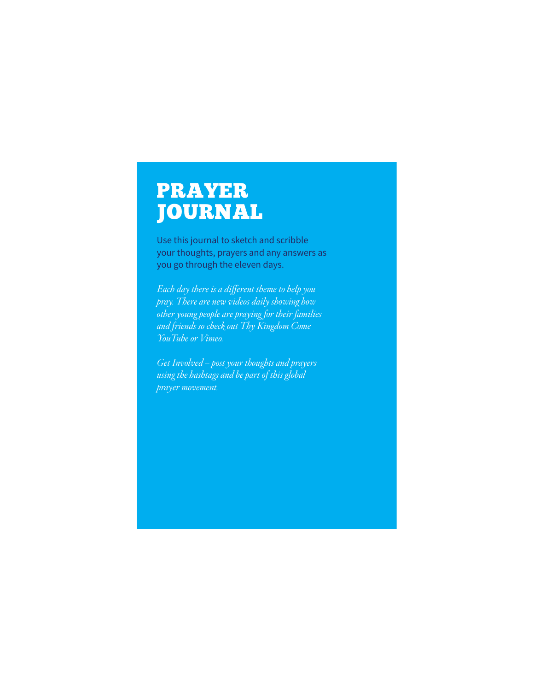#### **PRAYER JOURNAL**

**Journal**<br>Use this journal to sketch and scribble your thoughts, prayers and any answers as you go through the eleven days.

*Each day there is a different theme to help you pray. There are new videos daily showing how other young people are praying for their families and friends so check out Thy Kingdom Come YouTube or Vimeo.*

*Get Involved – post your thoughts and prayers using the hashtags and be part of this global prayer movement.*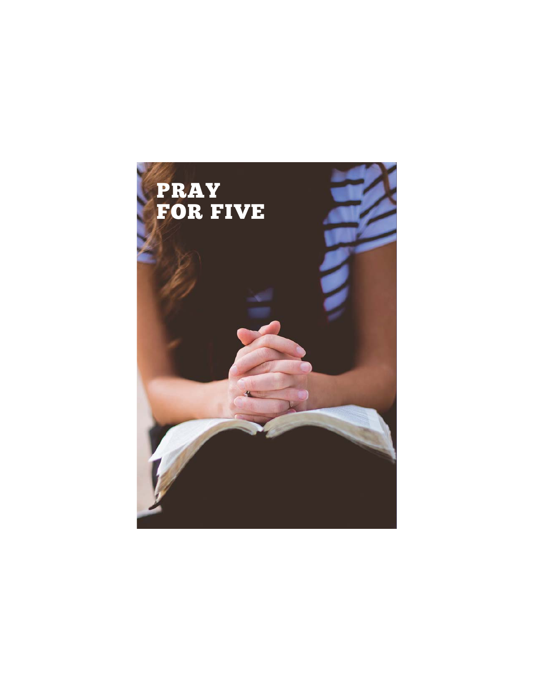## FOR F FOR FIVE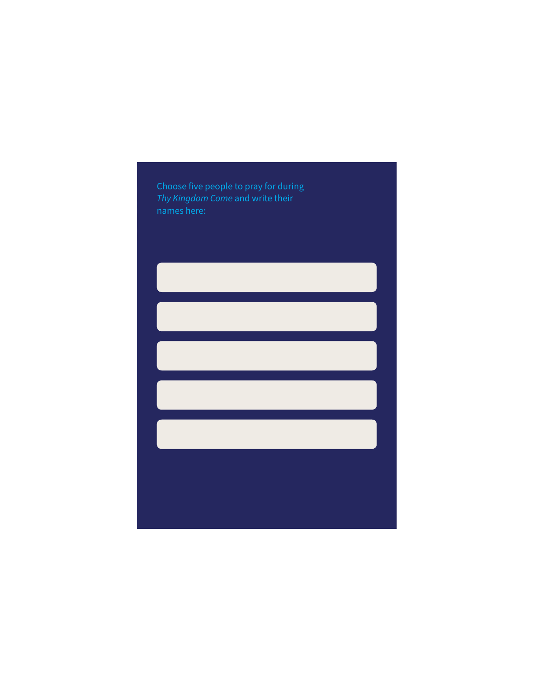Choose five people to pray for during Thy Kingdom Come and write their names here:

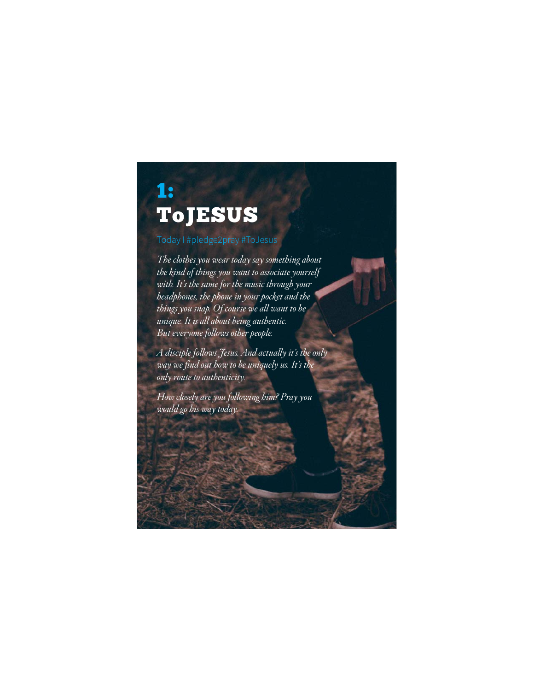### 1: **ToJESUS**

#### Today I #pledge2pray #ToJesus

*The clothes you wear today say something about the kind of things you want to associate yourself with. It's the same for the music through your headphones, the phone in your pocket and the things you snap. Of course we all want to be unique. It is all about being authentic. But everyone follows other people.* 

*A disciple follows Jesus. And actually it's the only way we find out how to be uniquely us. It's the only route to authenticity.*

*How closely are you following him? Pray you would go his way today.*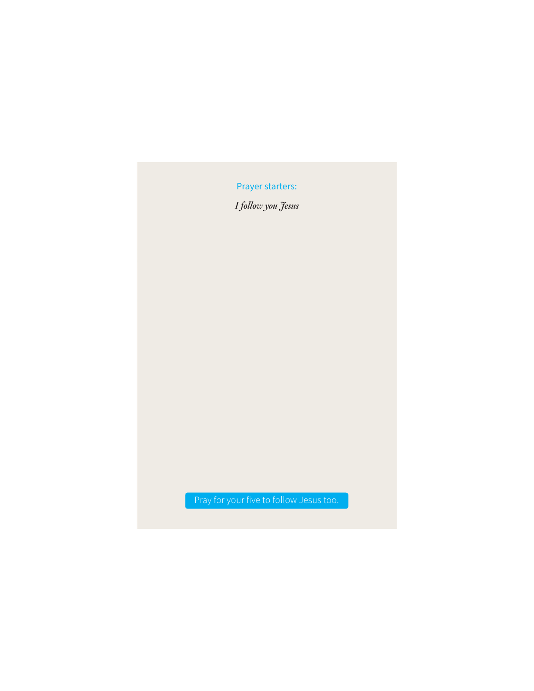*I follow you Jesus*

Pray for your five to follow Jesus too.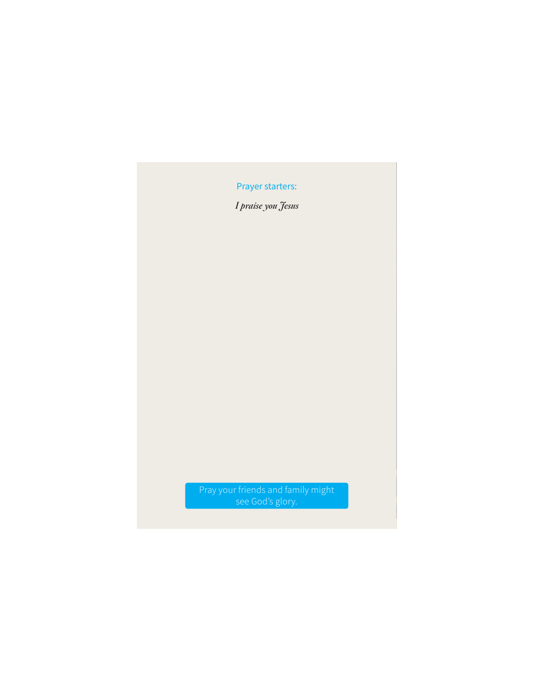*I praise you Jesus*

Pray your friends and family might see God's glory.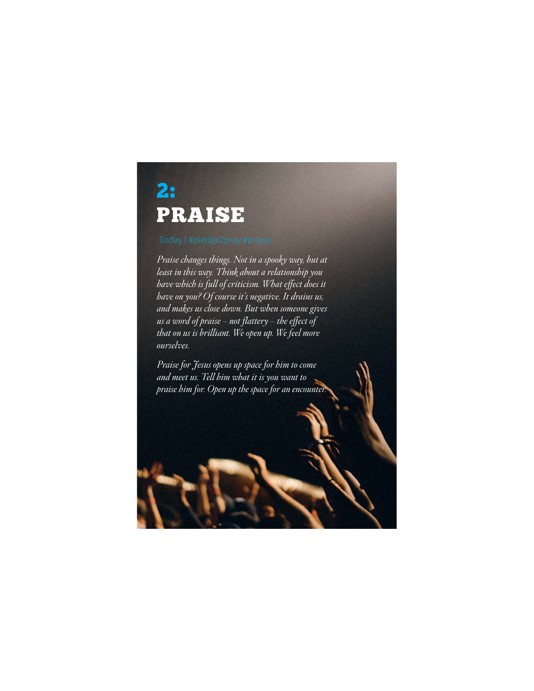### 2: PRAISE

*Praise changes things. Not in a spooky way, but at least in this way. Think about a relationship you have which is full of criticism. What effect does it have on you? Of course it's negative. It drains us, and makes us close down. But when someone gives us a word of praise – not flattery – the effect of that on us is brilliant. We open up. We feel more ourselves.* 

*Praise for Jesus opens up space for him to come and meet us. Tell him what it is you want to praise him for. Open up the space for an encounter.*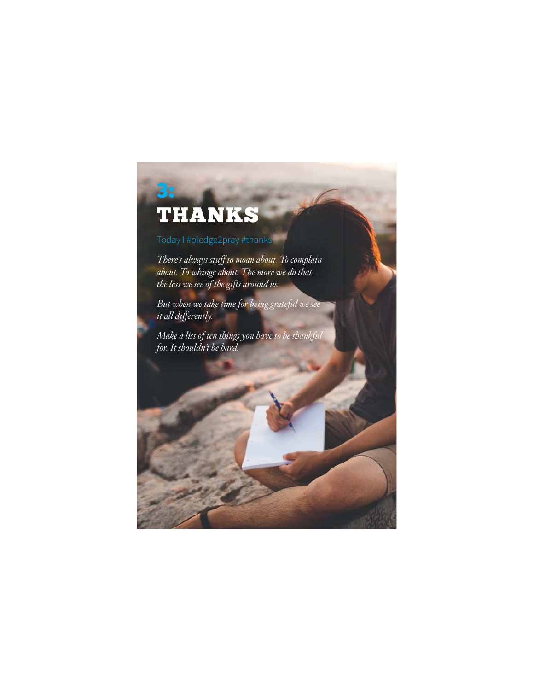#### 3.

### **THANKS**

### --<br>Today I #pledge2pray #thanks

*There's always stuff to moan about. To complain about. To whinge about. The more we do that – the less we see of the gifts around us.*

*But when we take time for being grateful we see it all differently.* 

*Make a list of ten things you have to be thankful for. It shouldn't be hard.*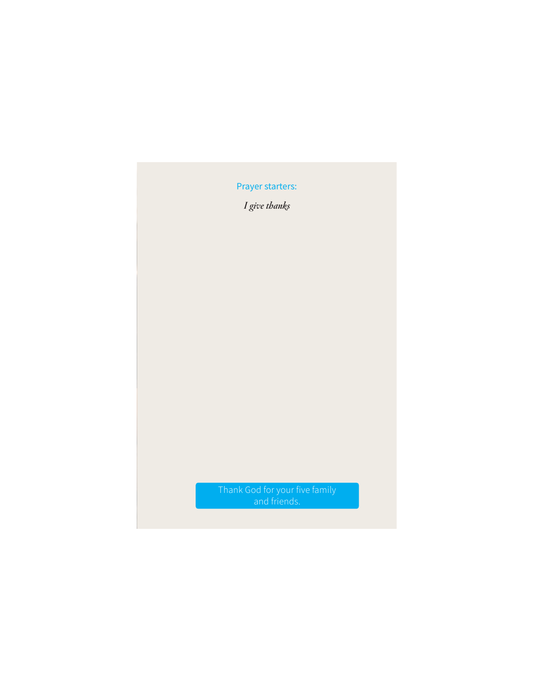*I give thanks*

Thank God for your five family and friends.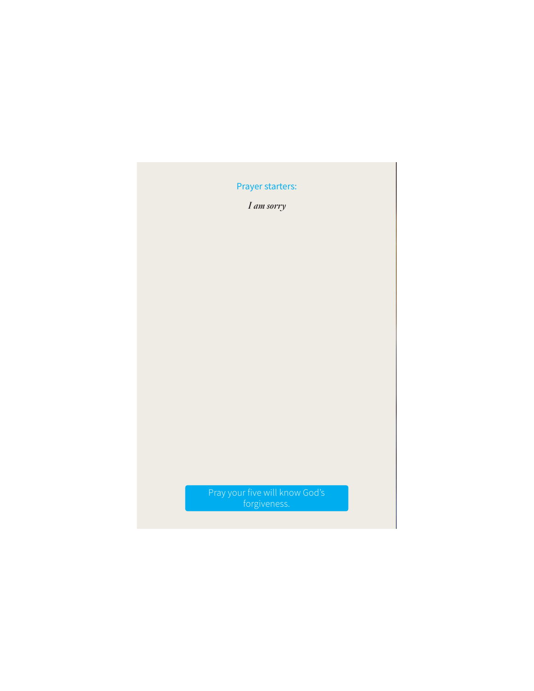*I am sorry* 

Pray your five will know God's forgiveness.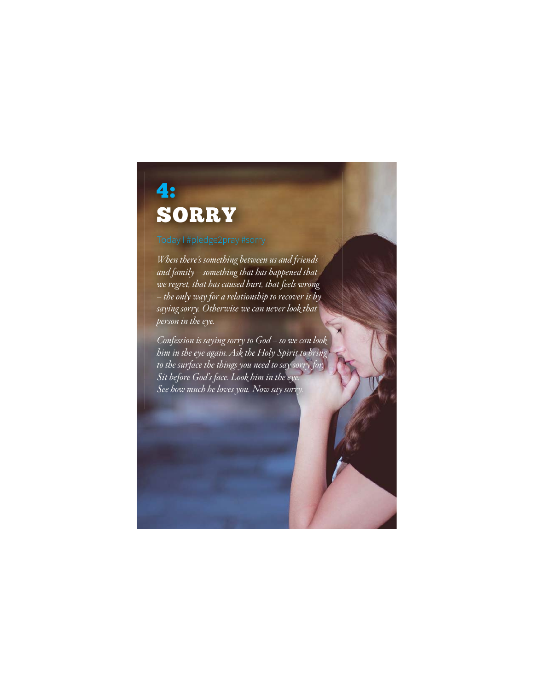### 4: **SORRY**

### -<br>Today I #pledge2pray #sorry

*When there's something between us and friends and family – something that has happened that we regret, that has caused hurt, that feels wrong – the only way for a relationship to recover is by saying sorry. Otherwise we can never look that person in the eye.*

*Confession is saying sorry to God – so we can look him in the eye again. Ask the Holy Spirit to bring to the surface the things you need to say sorry for. Sit before God's face. Look him in the eye. See how much he loves you. Now say sorry.*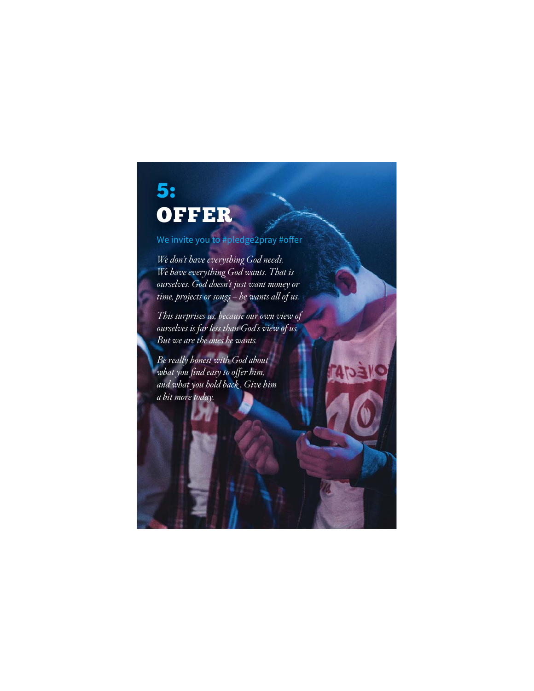#### 5: **OFFER**

#### ر<br>We invite you to #pledge2pray #offer

*We don't have everything God needs. We have everything God wants. That is – ourselves. God doesn't just want money or time, projects or songs – he wants all of us.* 

*This surprises us, because our own view of ourselves is far less than God's view of us. But we are the ones he wants.* 

*Be really honest with God about what you find easy to offer him, and what you hold back . Give him a bit more today.*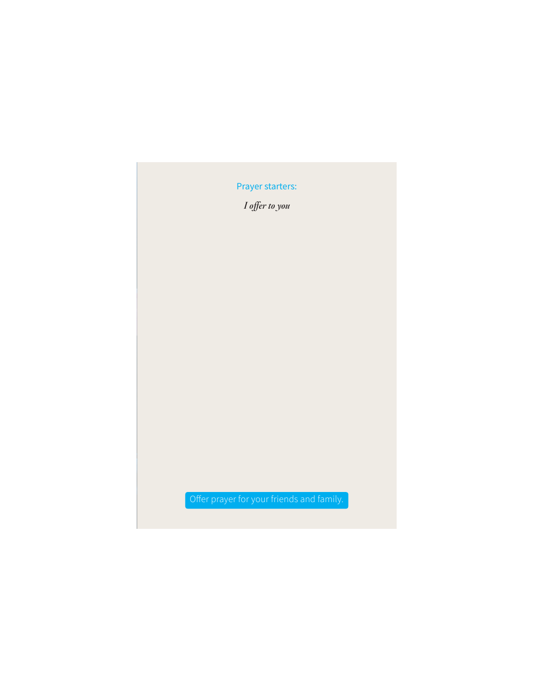*I offer to you* 

Offer prayer for your friends and family.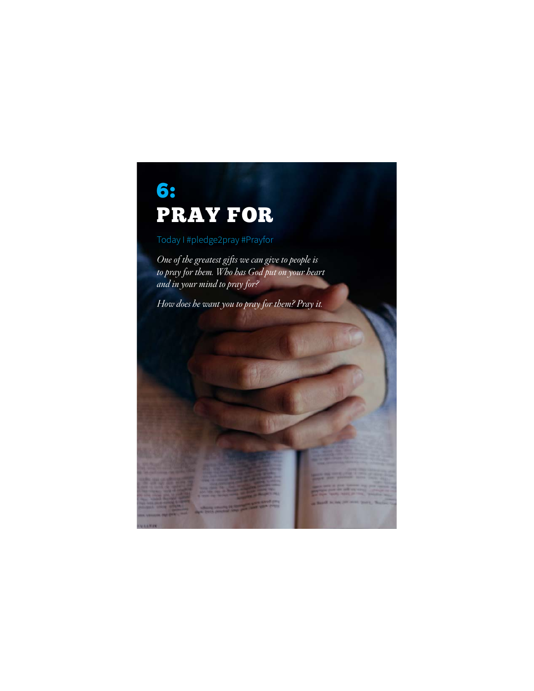### 6: **PRAY FOR**

### -<br>Today I #pledge2pray #Prayfor

*One of the greatest gifts we can give to people is to pray for them. Who has God put on your heart and in your mind to pray for?*

*How does he want you to pray for them? Pray it.*

and and the same of the

on Married with the late annual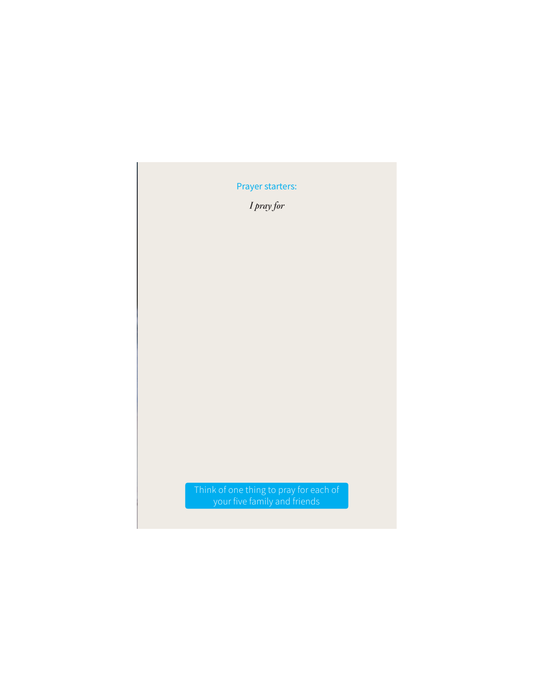*I pray for*

Think of one thing to pray for each of your five family and friends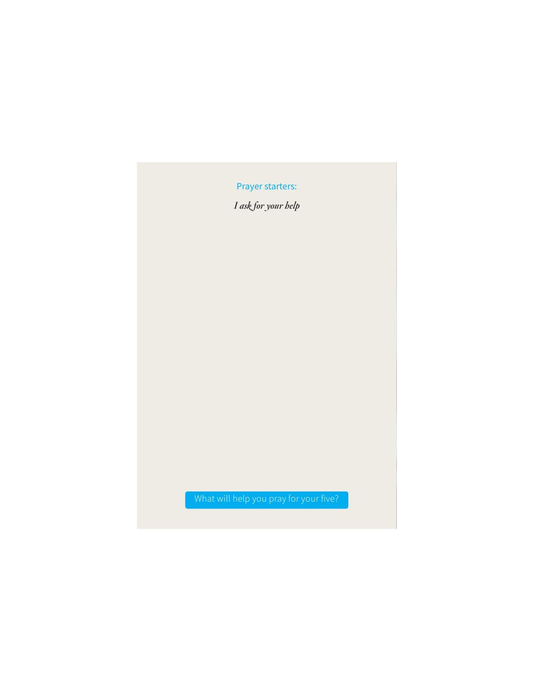*I ask for your help*

#### What will help you pray for your five?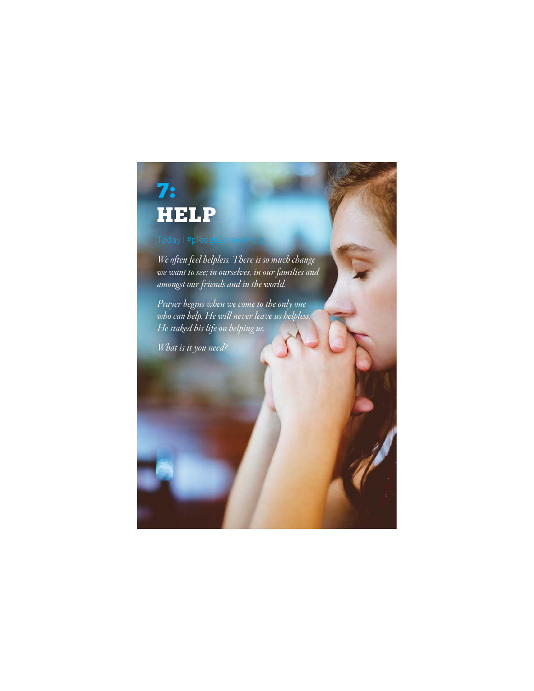# 7:<br>HELP

*We often feel helpless. There is so much change we want to see; in ourselves, in our families and amongst our friends and in the world.* 

*Prayer begins when we come to the only one who can help. He will never leave us helpless. He staked his life on helping us.* 

*What is it you need?*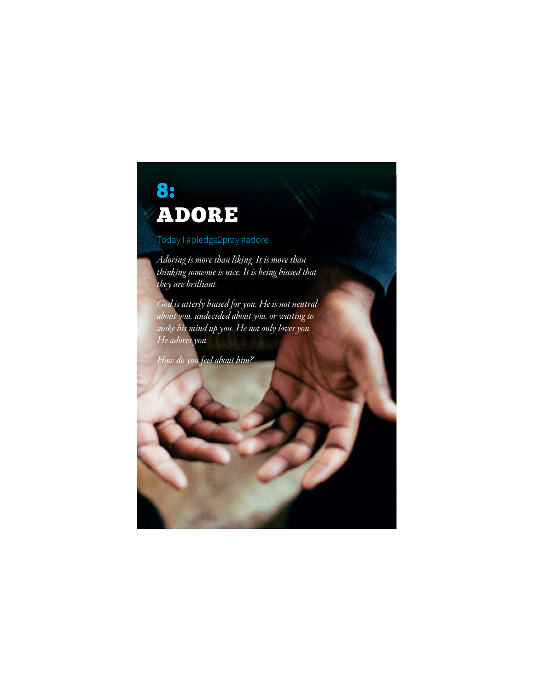# 8:<br>ADORE

ADORE Today I #pledge2pray #adore

*Adoring is more than liking. It is more than thinking someone is nice. It is being biased that they are brilliant.*

*God is utterly biased for you. He is not neutral about you, undecided about you, or waiting to make his mind up you. He not only loves you. He adores you.* 

*How do you feel about him?*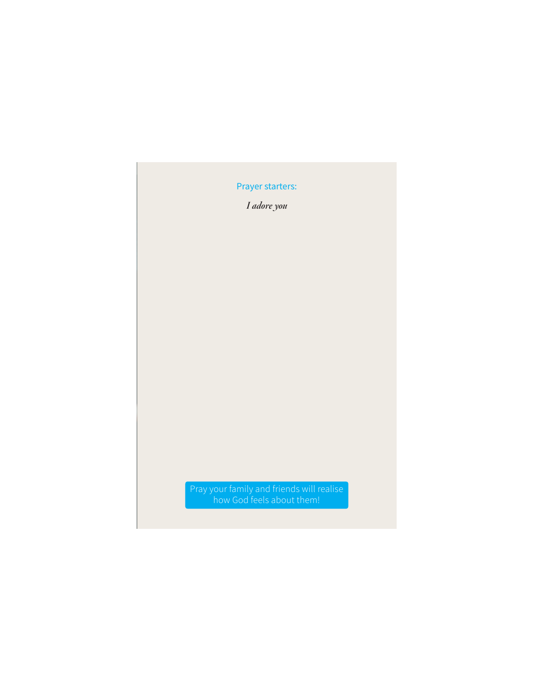*I adore you*

Pray your family and friends will realise how God feels about them!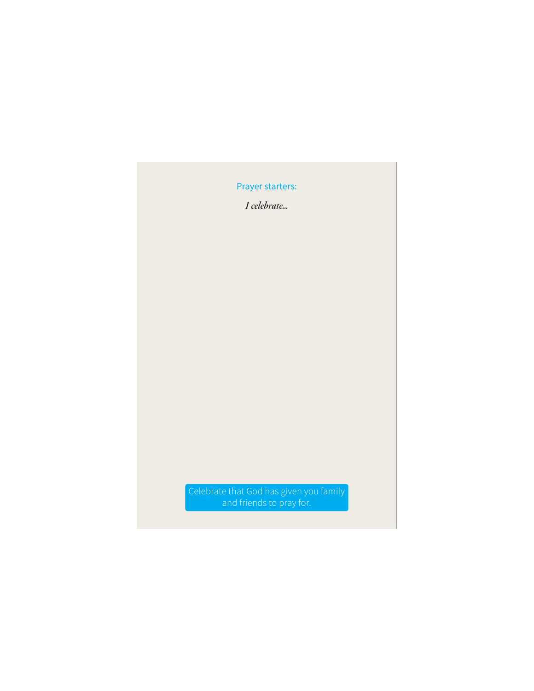*I celebrate…*

Celebrate that God has given you family and friends to pray for.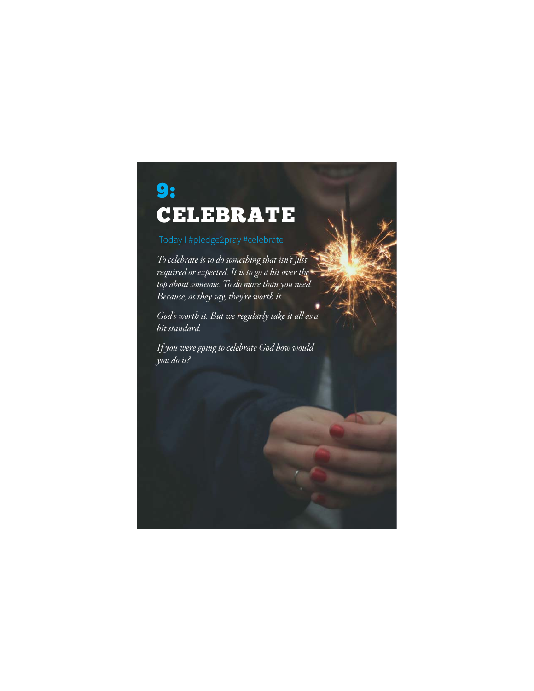### 9: **CELEBRATE**

*To celebrate is to do something that isn't just required or expected. It is to go a bit over the top about someone. To do more than you need. Because, as they say, they're worth it.* 

*God's worth it. But we regularly take it all as a bit standard.* 

*If you were going to celebrate God how would you do it?*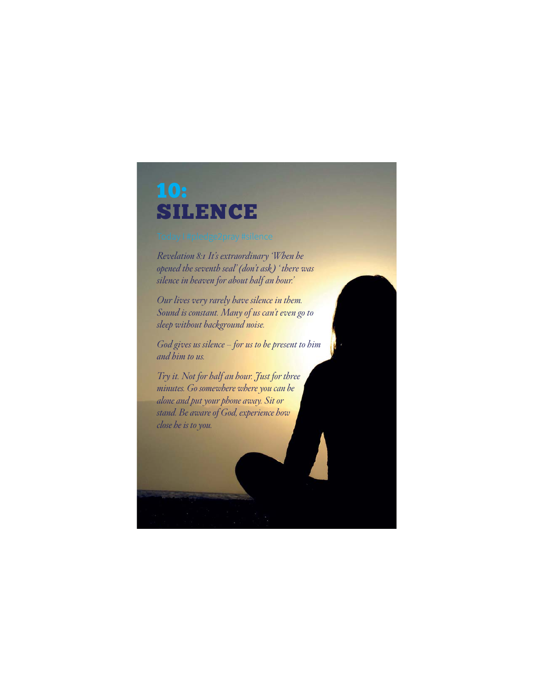# SILENCE

*Revelation 8:1 It's extraordinary 'When he opened the seventh seal' (don't ask ) ' there was silence in heaven for about half an hour.'*

*Our lives very rarely have silence in them. Sound is constant. Many of us can't even go to sleep without background noise.*

*God gives us silence – for us to be present to him and him to us.* 

*Try it. Not for half an hour. Just for three minutes. Go somewhere where you can be alone and put your phone away. Sit or stand. Be aware of God, experience how close he is to you.*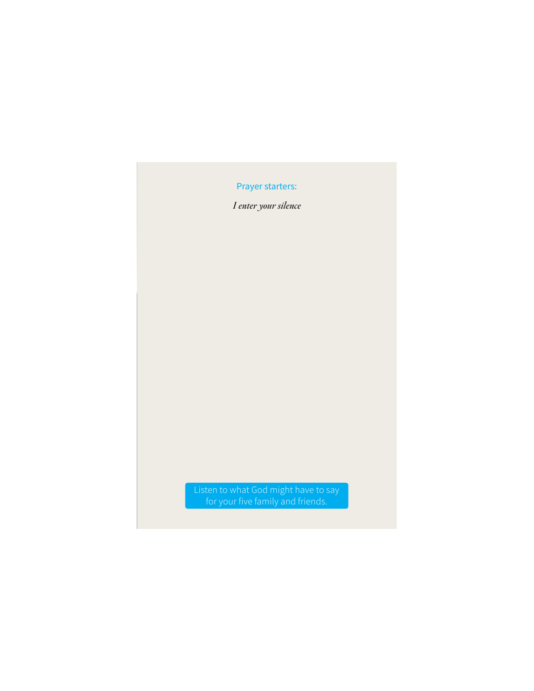*I enter your silence*

Listen to what God might have to say for your five family and friends.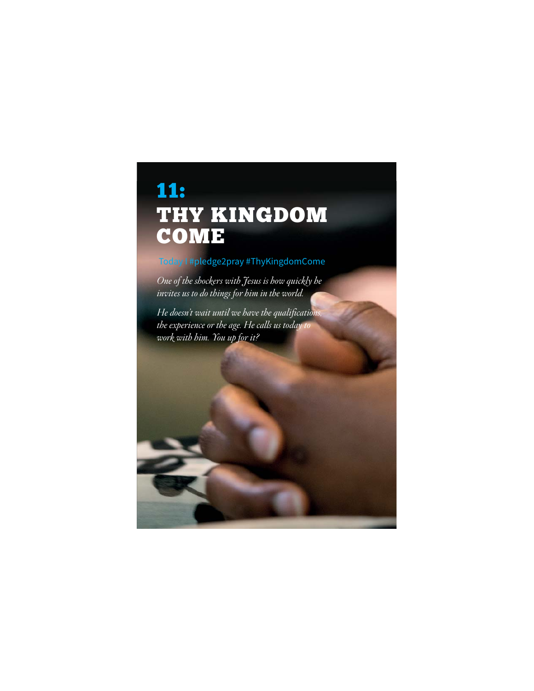#### **11:** THY KINGDOM COME

#### Today I #pledge2pray #ThyKingdomCome

*One of the shockers with Jesus is how quickly he invites us to do things for him in the world.*

*He doesn't wait until we have the qualifications, the experience or the age. He calls us today to work with him. You up for it?*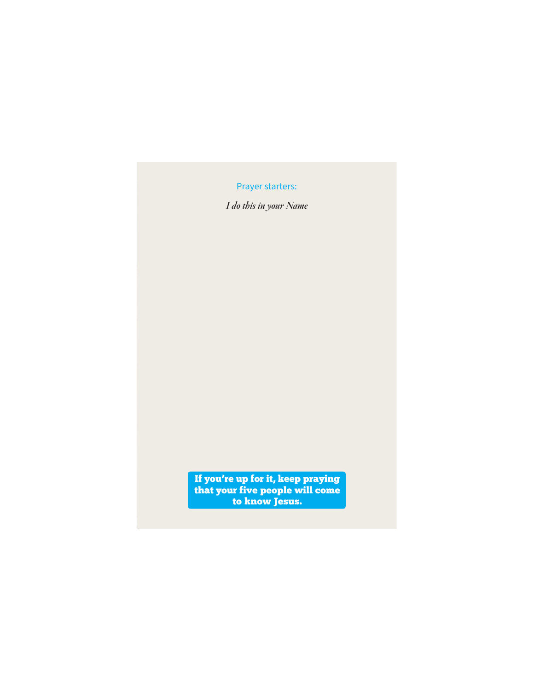*I do this in your Name*

If you're up for it, keep praying the know feet will come with the people will come with the set of the set of the set of the set of the set of the set of the set of the set of the set of the set of the set of the set of the set of the set of the set of th to know Jesus.